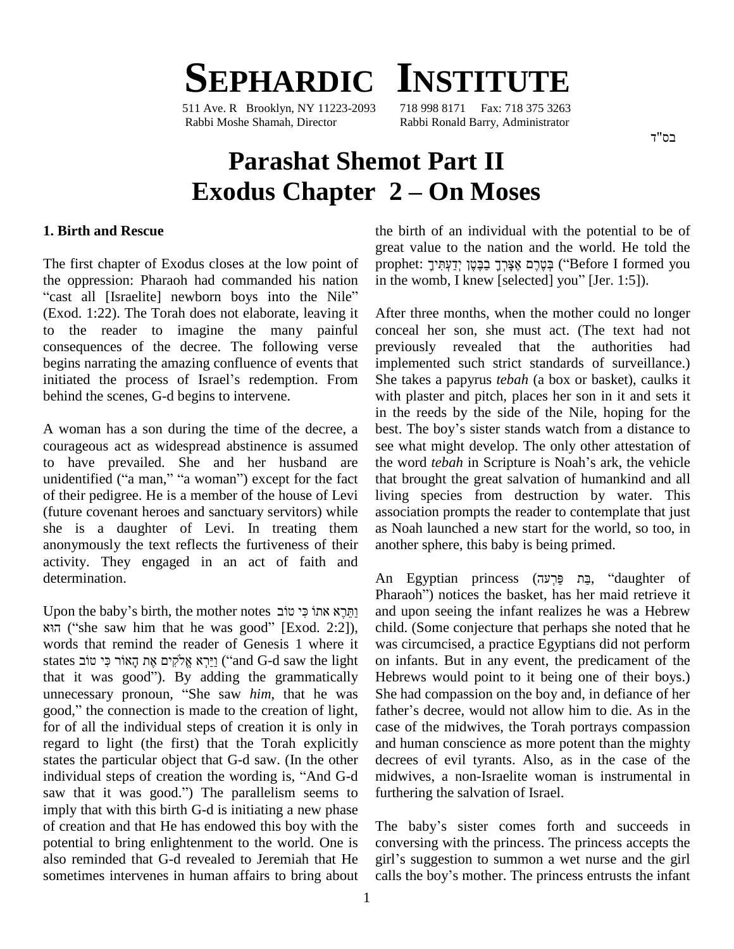# **SEPHARDIC INSTITUTE**

511 Ave. R Brooklyn, NY 11223-2093 Rabbi Moshe Shamah, Director Rabbi Ronald Barry, Administrator

## בס"ד

# **Parashat Shemot Part II Exodus Chapter**  $2 -$ **On Moses**

#### **1. Birth and Rescue**

The first chapter of Exodus closes at the low point of pro the oppression: Pharaoh had commanded his nation The first chapter of Exodus closes at the low point of prophet: בְּמֶטֶן יְדַעְתִּיךָ בַּבֶּטֶן ("Before I formed you the oppression: Pharaoh had commanded his nation in the womb, I knew [selected] you" [Jer. 1:5]).<br>"cas (Exod. 1:22). The Torah does not elaborate, leaving it to the reader to imagine the many painful consequences of the decree. The following verse previously<br>begins narrating the amazing confluence of events that implement<br>initiated the process of Israel's redemption. From She takes a begins narrating the amazing confluence of events that behind the scenes, G-d begins to intervene.

courageous act as widespread abstinence is assumed to have prevailed. She and her husband are unidentified ("a man," "a woman") except for the fact of their pedigree. He is a member of the house of Levi (future covenant heroes and sanctuary servitors) while she is a daughter of Levi. In treating them anonymously the text reflects the furtiveness of their activity. They engaged in an act of faith and determination.

Upon the baby's birth, the mother notes יְהַרֵא אתוֹ כִּי טוֹב P<br>| נַתֲּרֶא אתוֹ כִּי טוֹב an the baby's birth, the mother notes<br>| נַתֵּרֶא אתוֹ בִּי (Exod. 2:2]), cl words that remind the reader of Genesis 1 where it הֹא states saw him that he was good" [Exod. 2:2]), ch words that remind the reader of Genesis 1 where it was states  $\frac{1}{2}$  vere it was states קיצא אֱלֹקִים אֶת הָאוֹר כִּי טוֹב words that remind the reader of Genesis 1 where it was ci<br>states וַיֵּרְא אֱלֹקִים אֶת הָאוֹר כִּי טוֹב (and G-d saw the light on inf<br>that it was good''). By adding the grammatically Hebre states נַיַּרְא אֱלֹקִים אֶת הָאוֹר כִּי טוֹב ("and G-d saw the light on i that it was good"). By adding the grammatically Heb unnecessary pronoun, "She saw *him*, that he was She that it was good"). By adding the grammatically Hunnecessary pronoun, "She saw *him*, that he was Sgood," the connection is made to the creation of light, fa for of all the individual steps of creation it is only in regard to light (the first) that the Torah explicitly states the particular object that G-d saw. (In the other regard to light (the first) that the Torah explicitly and hustates the particular object that G-d saw. (In the other decree individual steps of creation the wording is, "And G-d midwi states the particular object that G-d saw. (In the other decree<br>individual steps of creation the wording is, "And G-d midwi<br>saw that it was good.") The parallelism seems to further imply that with this birth G-d is initiating a new phase of creation and that He has endowed this boy with the potential to bring enlightenment to the world. One is also reminded that G-d revealed to Jeremiah that He girl's suggestion to summon a wet nurse and the girl sometimes intervenes in human affairs to bring about calls the boy's mother. The princess entrusts the infant

the birth of an individual with the potential to be of<br>great value to the nation and the world. He told the<br>פְטֶרֶם אֶצְּרֶךָ בַּבֶּטֶן יְדַעְתִּיךָ ) ("Before I formed you great value to the nation and the world. He told the in the womb, I knew [selected] you" [Jer. 1:5]).

A woman has a son during the time of the decree, a best. The boy's sister stands watch from a distance to After three months, when the mother could no longer conceal her son, she must act. (The text had not previously revealed that the authorities had implemented such strict standards of surveillance.) She takes a papyrus *tebah* (a box or basket), caulks it with plaster and pitch, places her son in it and sets it<br>in the reeds by the side of the Nile, hoping for the<br>best. The boy's sister stands watch from a distance to in the reeds by the side of the Nile, hoping for the see what might develop. The only other attestation of the word *tebah* in Scripture is Noah's ark, the vehicle that brought the great salvation of humankind and all living species from destruction by water. This association prompts the reader to contemplate that just as Noah launched a new start for the world, so too, in another sphere, this baby is being primed.

> An Egyptian princess (בַּת פַּרְעָה, "daughter of Pharaoh<sup>"</sup>) notices the basket, has her maid retrieve it and upon seeing the infant realizes he was a Hebrew child. (Some conjecture that perhaps she noted that he was circumcised, a practice Egyptians did not perform on infants. But in any event, the predicament of the Hebrews would point to it being one of their boys.)<br>She had compassion on the boy and, in defiance of her<br>father's decree, would not allow him to die. As in the She had compassion on the boy and, in defiance of her case of the midwives, the Torah portrays compassion and human conscience as more potent than the mighty decrees of evil tyrants. Also, as in the case of the midwives, a non-Israelite woman is instrumental in furthering the salvation of Israel. furthering the salvation of Israel.<br>The baby's sister comes forth and succeeds in

conversing with the princess. The princess accepts the girl's suggestion to summon a wet nurse and the girl calls the boy's mother. The princess entrusts the infant The baby's sister comes forth and succeeds in conversing with the princess. The princess accepts the girl's suggestion to summon a wet nurse and the girl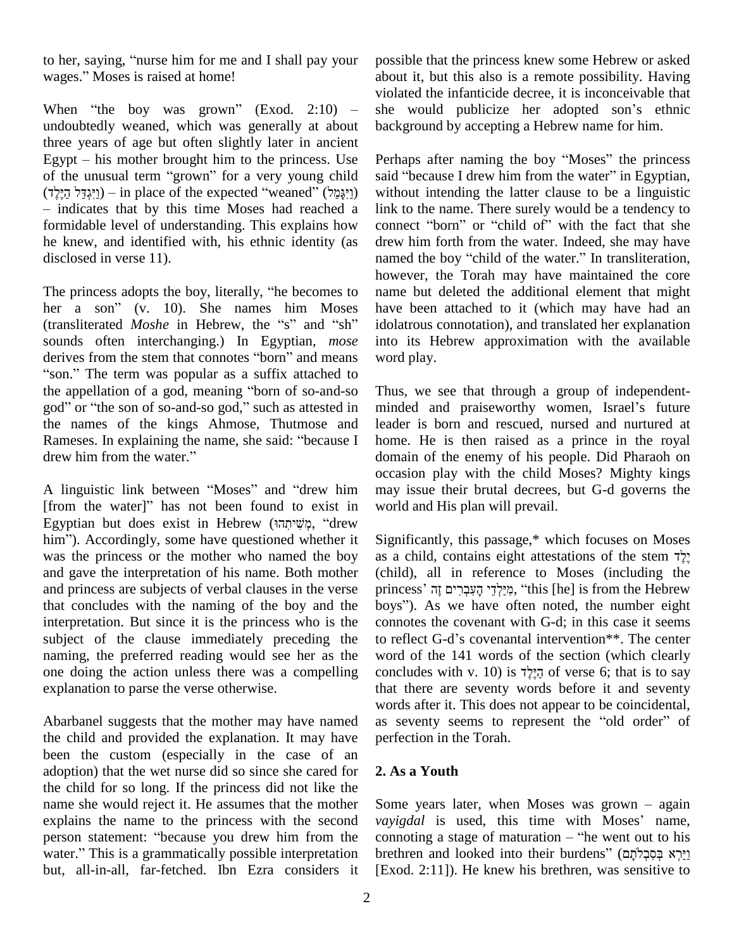to her, saying, "nurse him for me and I shall pay your pos to her, saying, "nurse him for me and I<br>wages." Moses is raised at home!

undoubtedly weaned, which was generally at about three years of age but often slightly later in ancient Egypt  $-$  his mother brought him to the princess. Use three years of age but often slightly later in ancient<br>Egypt – his mother brought him to the princess. Use Perhap<br>of the unusual term "grown" for a very young child said " Egypt – his mother brought him to the princess. Use Per<br>of the unusual term "grown" for a very young child said<br>in place of the expected "weaned" (יַיִּגְדַּל הֵיֶלֶד) wit - indicates that by this time Moses had reached a link to the name. There surely would be a tendency to formidable level of understanding. This explains how connect "born" or "child of" with the fact that she formidable level of understanding. This explains how he knew, and identified with, his ethnic identity (as disclosed in verse 11).

The princess adopts the boy, literally, "he becomes to her a son" (v. 10). She names him Moses (transliterated *Moshe* in Hebrew, the "s" and "sh" sounds often interchanging.) In Egyptian, *mose* (transliterated *Moshe* in Hebrew, the "s" and "sh" idols<br>sounds often interchanging.) In Egyptian, *mose* into<br>derives from the stem that connotes "born" and means wore ounds often interchanging.) In Egyptian, *mose* into i<br>erives from the stem that connotes "born" and means word j<br>son." The term was popular as a suffix attached to derives from the stem that connotes "born" and means word p<br>"son." The term was popular as a suffix attached to<br>the appellation of a god, meaning "born of so-and-so Thus, "son." The term was popular as a suffix attached to<br>the appellation of a god, meaning "born of so-and-so Thus,<br>god" or "the son of so-and-so god," such as attested in minde the names of the kings Ahmose, Thutmose and leader<br>Rameses. In explaining the name, she said: "because I home.<br>drew him from the water." domain god" or "the son of so-and-so god," such as attested in the names of the kings Ahmose, Thutmose and Rameses. In explaining the name, she said: "because I

drew him from the water."<br>
A linguistic link between "Moses" and "drew him may issue occasi<br>A linguistic link between "Moses" and "drew him may i<br>[from the water]" has not been found to exist in world A linguistic link between "Moses" and "drew him may issue<br>[from the water]" has not been found to exist in world and<br>Egyptian but does exist in Hebrew (מְשִׁיחַהוּ, "drew from the water]" has not been found to exist in Egyptian but does exist in Hebrew (מְשִׁיחָהוּ, "drew him"). Accordingly, some have questioned whether it was the princess or the mother who named the boy as a child, contains eight attestations of the stem  $\frac{1}{2}$ . and gave the interpretation of his name. Both mother and princess are subjects of verbal clauses in the verse princess' הִיַּלְדֵּי הַעָּבְרִים זָה, "this [he] is from the Hebrew that concludes with the naming of the boy and the interpretation. But since it is the princess who is the subject of the clause immediately preceding the to reflect G-d's covenantal intervention<sup>\*\*</sup>. The center naming, the preferred reading would see her as the one doing the action unless there was a compelling explanation to parse the verse otherwise.

Abarbanel suggests that the mother may have named the child and provided the explanation. It may have been the custom (especially in the case of an adoption) that the wet nurse did so since she cared for the child for so long. If the princess did not like the name she would reject it. He assumes that the mother explains the name to the princess with the second vayiga name she would reject it. He assumes that the mother<br>explains the name to the princess with the second vayigdar<br>person statement: "because you drew him from the connot explains the name to the princess with the second vayigation statement: "because you drew him from the connouncer." This is a grammatically possible interpretation brethre but, all-in-all, far-fetched. Ibn Ezra considers it

wages." Moses is raised at home!<br>when "the boy was grown" (Exod. 2:10) – she would publicize her adopted son's ethnic possible that the princess knew some Hebrew or asked about it, but this also is a remote possibility. Having<br>violated the infanticide decree, it is inconceivable that<br>she would publicize her adopted son's ethnic violated the infanticide decree, it is inconceivable that background by accepting a Hebrew name for him. background by accepting a Hebrew name for him.<br>Perhaps after naming the boy "Moses" the princess

Perhaps after naming the boy "Moses" the princess<br>said "because I drew him from the water" in Egyptian, without intending the latter clause to be a linguistic link to the name. There surely would be a tendency to connect "born" or "child of" with the fact that she link to the name. There surely would be a tendency to drew him forth from the water. Indeed, she may have named the boy "child of the water." In transliteration, however, the Torah may have maintained the core name but deleted the additional element that might have been attached to it (which may have had an idolatrous connotation), and translated her explanation into its Hebrew approximation with the available word play.

Thus, we see that through a group of independent minded and praiseworthy women, Israel's future leader is born and rescued, nursed and nurtured at home. He is then raised as a prince in the royal domain of the enemy of his people. Did Pharaoh on occasion play with the child Moses? Mighty kings may issue their brutal decrees, but G-d governs the world and His plan will prevail.

Significantly, this passage,\* which focuses on Moses Significantly, this passage,\* which focuses on Moses<br>as a child, contains eight attestations of the stem ? (child), all in reference to Moses (including the as a child, contains eight attestations of the stem לְגֻי child), all in reference to Moses (including the princess' פְיַבְרִים זָה (this [he] is from the Hebrew (child), all in reference to Moses (including the princess' מְיֵלְדֵי הָעִבְרִים זֶה, "this [he] is from the Hebrew boys"). As we have often noted, the number eight connotes the covenant with G-d; in this case it seems boys"). As we have often noted, the number eight word of the 141 words of the section (which clearly concludes with v. 10) is  $\vec{\tau}$ יֵלֵד of verse 6; that is to say that there are seventy words before it and seventy words after it. This does not appear to be coincidental, as seventy seems to represent the "old order" of perfection in the Torah.

# **2. As a Youth**

**2. As a Youth**<br>Some years later, when Moses was grown  $-$  again *Some years later*, when Moses was grown – again<br>*vayigdal* is used, this time with Moses' name, Some years later, when Moses was grown – again *vayigdal* is used, this time with Moses' name, connoting a stage of maturation – "he went out to his *vayigdal* is used, this time with Moses' name,<br>connoting a stage of maturation – "he went out to his<br>brethren and looked into their burdens" (יַיִּרְא בְּסִבְּלֹתָם [Exod. 2:11]). He knew his brethren, was sensitive to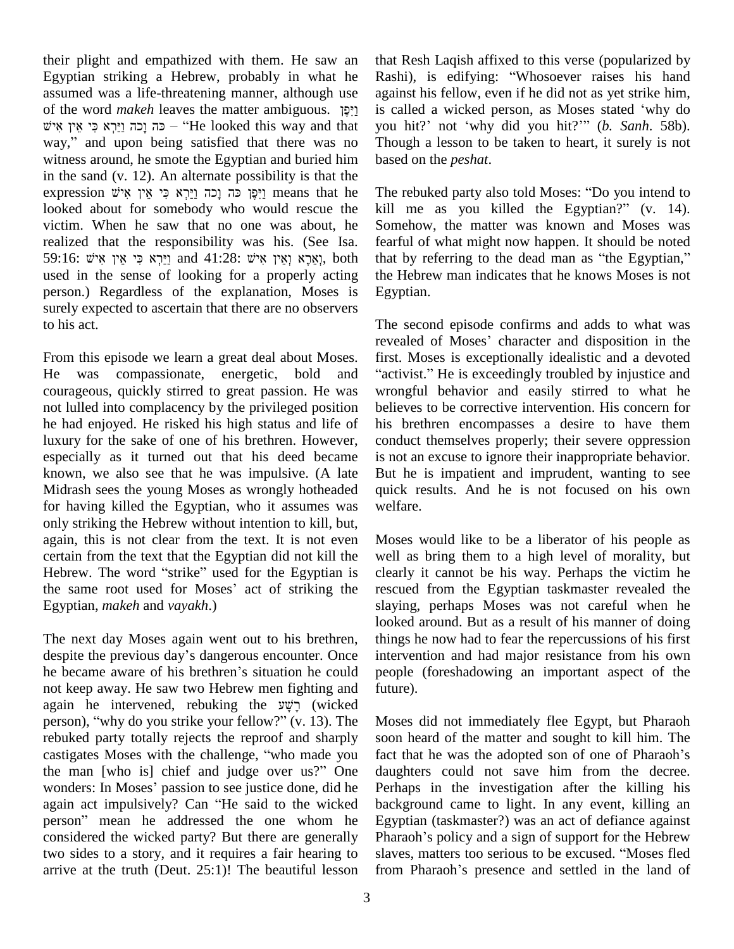their plight and empathized with them. He saw an Egyptian striking a Hebrew, probably in what he Rash assumed was a life-threatening manner, although use again of the word *makeh* leaves the matter ambiguous. <sup>[2]</sup> is call assumed was a life-threatening manner, although use again med was a life-threatening manner, although use age word *makeh* leaves the matter ambiguous. פְּי אֵין is<br>
is – כה נָכה נֵירִא פִי אֵין – "He looked this way and that yo of the word *makeh* leaves the matter ambiguous. יְיִפָּן is call<br>
" – כּה וָכָה וַיַּרְא כִּי אֵין אִישׁ – "He looked this way and that you hway," and upon being satisfied that there was no witness around, he smote the Egyptian and buried him based on th<br>in the sand (v. 12). An alternate possibility is that the<br>expression יַיִּפָּן כּה וְכָה וַיַּרְא כִּי אֵין אִיט means that he The rebuke in the sand (v. 12). An alternate possibility is that the looked about for somebody who would rescue the victim. When he saw that no one was about, he realized that the responsibility was his. (See Isa. 59:16: וירְא כּי אין איש: and 41:28: אוֹצְא וְאִין אוֹש; both that by referring to the dead man as "the Egyptian," used in the sense of looking for a properly acting person.) Regardless of the explanation, Moses is surely expected to ascertain that there are no observers to his act.

From this episode we learn a great deal about Moses. reveal<br>From this episode we learn a great deal about Moses. first. I<br>He was compassionate, energetic, bold and "activi courageous, quickly stirred to great passion. He was not lulled into complacency by the privileged position he had enjoyed. He risked his high status and life of luxury for the sake of one of his brethren. However, especially as it turned out that his deed became known, we also see that he was impulsive. (A late Midrash sees the young Moses as wrongly hotheaded for having killed the Egyptian, who it assumes was only striking the Hebrew without intention to kill, but, again, this is not clear from the text. It is not even Moses<br>certain from the text that the Egyptian did not kill the well a<br>Hebrew. The word "strike" used for the Egyptian is clearly certain from the text that the Egyptian did not kill the well<br>Hebrew. The word "strike" used for the Egyptian is clearl<br>the same root used for Moses' act of striking the rescu Egyptian, *makeh* and *vayakh*.)

The next day Moses again went out to his brethren, looke<br>The next day Moses again went out to his brethren, thing<br>despite the previous day's dangerous encounter. Once interv The next day Moses again went out to his brethren, things despite the previous day's dangerous encounter. Once interventies became aware of his brethren's situation he could people not keep away. He saw two Hebrew men fighting and he became aware of his brethren's situation he could<br>not keep away. He saw two Hebrew men fighting and<br>again he intervened, rebuking the  $\vec{y}$  (wicked not keep away. He saw two Hebrew men fighting and future again he intervened, rebuking the  $\nabla \psi$ ; (wicked person), "why do you strike your fellow?" (v. 13). The Mose rebuked party totally rejects the reproof and sharply person), "why do you strike your fellow?" (v. 13). The Moses<br>rebuked party totally rejects the reproof and sharply soon l<br>castigates Moses with the challenge, "who made you fact th rebuked party totally rejects the reproof and sharply soon<br>castigates Moses with the challenge, "who made you fact t<br>the man [who is] chief and judge over us?" One daugl castigates Moses with the challenge, "who made you fact the man [who is] chief and judge over us?" One daugl wonders: In Moses' passion to see justice done, did he Perha the man [who is] chief and judge over us?" One daugh<br>wonders: In Moses' passion to see justice done, did he Perhap<br>again act impulsively? Can "He said to the wicked backg wonders: In Moses' passion to see justice done, did he again act impulsively? Can "He said to the wicked person" mean he addressed the one whom he considered the wicked party? But there are generally Pharaoh's policy and a sign of support for the Hebrew two sides to a story, and it requires a fair hearing to arrive at the truth (Deut. 25:1)! The beautiful lesson from Pharaoh's presence and settled in the land of

that Resh Laqish affixed to this verse (popularized by that Resh Laqish affixed to this verse (popularized by<br>Rashi), is edifying: "Whosoever raises his hand against his fellow, even if he did not as yet strike him, Rashi), is edifying: "Whosoever raises his hand<br>against his fellow, even if he did not as yet strike him,<br>is called a wicked person, as Moses stated 'why do is called a wicked person, as Moses stated 'why do you hit?' not 'why did you hit?'" (*b. Sanh.* 58b). Though a lesson to be taken to heart, it surely is not based on the *peshat*.

The rebuked party also told Moses: "Do you intend to kill me as you killed the Egyptian?"  $(v. 14)$ . Somehow, the matter was known and Moses was fearful of what might now happen. It should be noted Somehow, the matter was known and Moses was<br>fearful of what might now happen. It should be noted<br>that by referring to the dead man as "the Egyptian," the Hebrew man indicates that he knows Moses is not Egyptian.

The second episode confirms and adds to what was The second episode confirms and adds to what was<br>revealed of Moses' character and disposition in the<br>first. Moses is exceptionally idealistic and a devoted<br>"activist." He is exceedingly troubled by injustice and first. Moses is exceptionally idealistic and a devoted wrongful behavior and easily stirred to what he believes to be corrective intervention. His concern for his brethren encompasses a desire to have them conduct themselves properly; their severe oppression is not an excuse to ignore their inappropriate behavior. But he is impatient and imprudent, wanting to see quick results. And he is not focused on his own welfare.

Moses would like to be a liberator of his people as well as bring them to a high level of morality, but clearly it cannot be his way. Perhaps the victim he rescued from the Egyptian taskmaster revealed the slaying, perhaps Moses was not careful when he looked around. But as a result of his manner of doing things he now had to fear the repercussions of his first intervention and had major resistance from his own people (foreshadowing an important aspect of the future).

Moses did not immediately flee Egypt, but Pharaoh soon heard of the matter and sought to kill him. The Moses did not immediately flee Egypt, but Pharaoh<br>soon heard of the matter and sought to kill him. The<br>fact that he was the adopted son of one of Pharaoh's daughters could not save him from the decree. Perhaps in the investigation after the killing his background came to light. In any event, killing an Egyptian (taskmaster?) was an act of defiance against Pharaoh's policy and a sign of support for the Hebrew Egyptian (taskmaster?) was an act of defiance against<br>Pharaoh's policy and a sign of support for the Hebrew<br>slaves, matters too serious to be excused. "Moses fled slaves, matters too serious to be excused. "Moses fled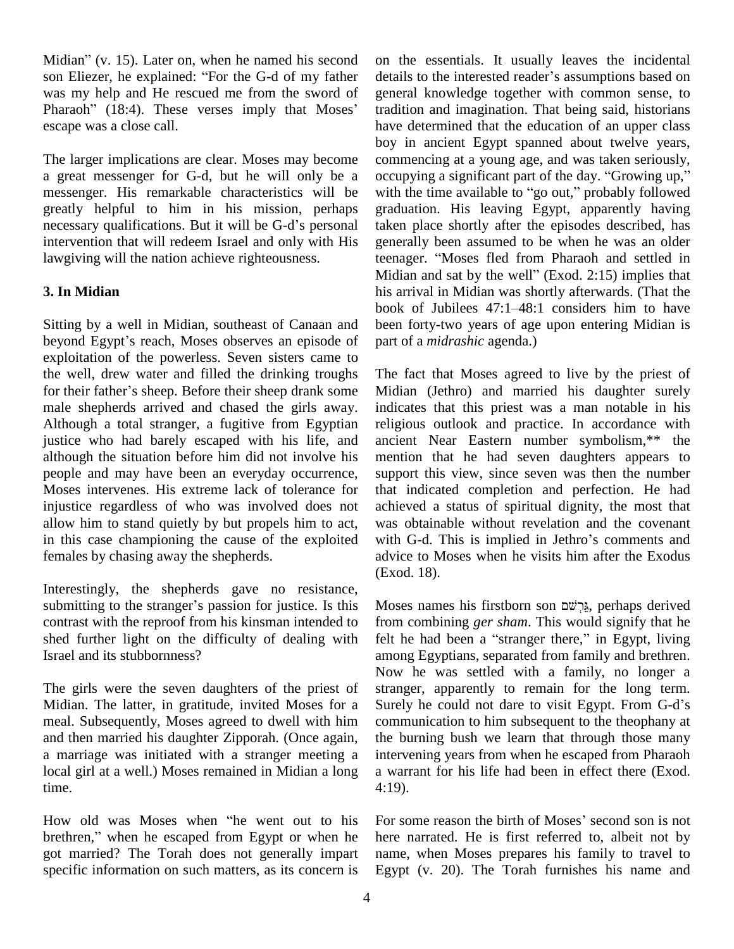Midian<sup>3</sup> (v. 15). Later on, when he named his second on th Midian" (v. 15). Later on, when he named his second on<br>son Eliezer, he explained: "For the G-d of my father det was my help and He rescued me from the sword of son Eliezer, he explained: "For the G-d of my father det was my help and He rescued me from the sword of ger Pharaoh" (18:4). These verses imply that Moses' trac escape was a close call.

The larger implications are clear. Moses may become a great messenger for G-d, but he will only be a occupying a significant part of the day. "Growing up," messenger. His remarkable characteristics will be greatly helpful to him in his mission, perhaps messenger. His remarkable characteristics will be will speed with the preasure of the predictions. But it will be G-d's personal the case of the G-displace of the G-displace of the G-displace of the case of the G-displace intervention that will redeem Israel and only with His lawgiving will the nation achieve righteousness.

# **3. In Midian**

Sitting by a well in Midian, southeast of Canaan and exploitation of the powerless. Seven sisters came to<br>the well, drew water and filled the drinking troughs The fa<br>for their father's sheep. Before their sheep drank some Midia the well, drew water and filled the drinking troughs male shepherds arrived and chased the girls away. Although a total stranger, a fugitive from Egyptian justice who had barely escaped with his life, and although the situation before him did not involve his people and may have been an everyday occurrence, Moses intervenes. His extreme lack of tolerance for injustice regardless of who was involved does not allow him to stand quietly by but propels him to act, in this case championing the cause of the exploited with G-d. This is implied in Jethro's comments and females by chasing away the shepherds.

Interestingly, the shepherds gave no resistance, Exemelongly, the shepherds gave no resistance,<br>submitting to the stranger's passion for justice. Is this Mos contrast with the reproof from his kinsman intended to shed further light on the difficulty of dealing with Israel and its stubbornness?

The girls were the seven daughters of the priest of Midian. The latter, in gratitude, invited Moses for a Surely he could not dare to visit Egypt. From G-d's meal. Subsequently, Moses agreed to dwell with him and then married his daughter Zipporah. (Once again, a marriage was initiated with a stranger meeting a local girl at a well.) Moses remained in Midian a long time.

How old was Moses when "he went out to his brethren," when he escaped from Egypt or when he got married? The Torah does not generally impart specific information on such matters, as its concern is

book of Jubilees 47:1–48:1 considers him to have<br>Sitting by a well in Midian, southeast of Canaan and<br>been forty-two years of age upon entering Midian is<br>beyond Egypt's reach, Moses observes an episode of part of a *midras* on the essentials. It usually leaves the incidental details to the interested reader's assumptions based on general knowledge together with common sense, to tradition and imagination. That being said, historians have determined that the education of an upper class boy in ancient Egypt spanned about twelve years, commencing at a young age, and was taken seriously, occupying a significant part of the day. "Growing up," commencing at a young age, and was taken seriously, with the time available to "go out," probably followed graduation. His leaving Egypt, apparently having taken place shortly after the episodes described, has generally been assumed to be when he was an older taken place shortly after the episodes described, has<br>generally been assumed to be when he was an older<br>teenager. "Moses fled from Pharaoh and settled in generally been assumed to be when he was an older<br>teenager. "Moses fled from Pharaoh and settled in<br>Midian and sat by the well" (Exod. 2:15) implies that his arrival in Midian was shortly afterwards. (That the Midian and sat by the well" (Exod. 2:15) implies that<br>his arrival in Midian was shortly afterwards. (That the<br>book of Jubilees 47:1–48:1 considers him to have been forty-two years of age upon entering Midian is part of a *midrashic* agenda.)

> The fact that Moses agreed to live by the priest of Midian (Jethro) and married his daughter surely indicates that this priest was a man notable in his religious outlook and practice. In accordance with ancient Near Eastern number symbolism,\*\* the mention that he had seven daughters appears to support this view, since seven was then the number that indicated completion and perfection. He had achieved a status of spiritual dignity, the most that was obtainable without revelation and the covenant achieved a status of spiritual dignity, the most that<br>was obtainable without revelation and the covenant<br>with G-d. This is implied in Jethro's comments and advice to Moses when he visits him after the Exodus (Exod. 18).

Moses names his firstborn son גֲרִשׁׁם, perhaps derived from combining *ger sham*. This would signify that he felt he had been a "stranger there," in Egypt, living among Egyptians, separated from family and brethren. Now he was settled with a family, no longer a stranger, apparently to remain for the long term.<br>Surely he could not dare to visit Egypt. From G-d's stranger, apparently to remain for the long term. communication to him subsequent to the theophany at the burning bush we learn that through those many intervening years from when he escaped from Pharaoh a warrant for his life had been in effect there (Exod. 4:19).

For some reason the birth of Moses' second son is not here narrated. He is first referred to, albeit not by name, when Moses prepares his family to travel to Egypt (v. 20). The Torah furnishes his name and